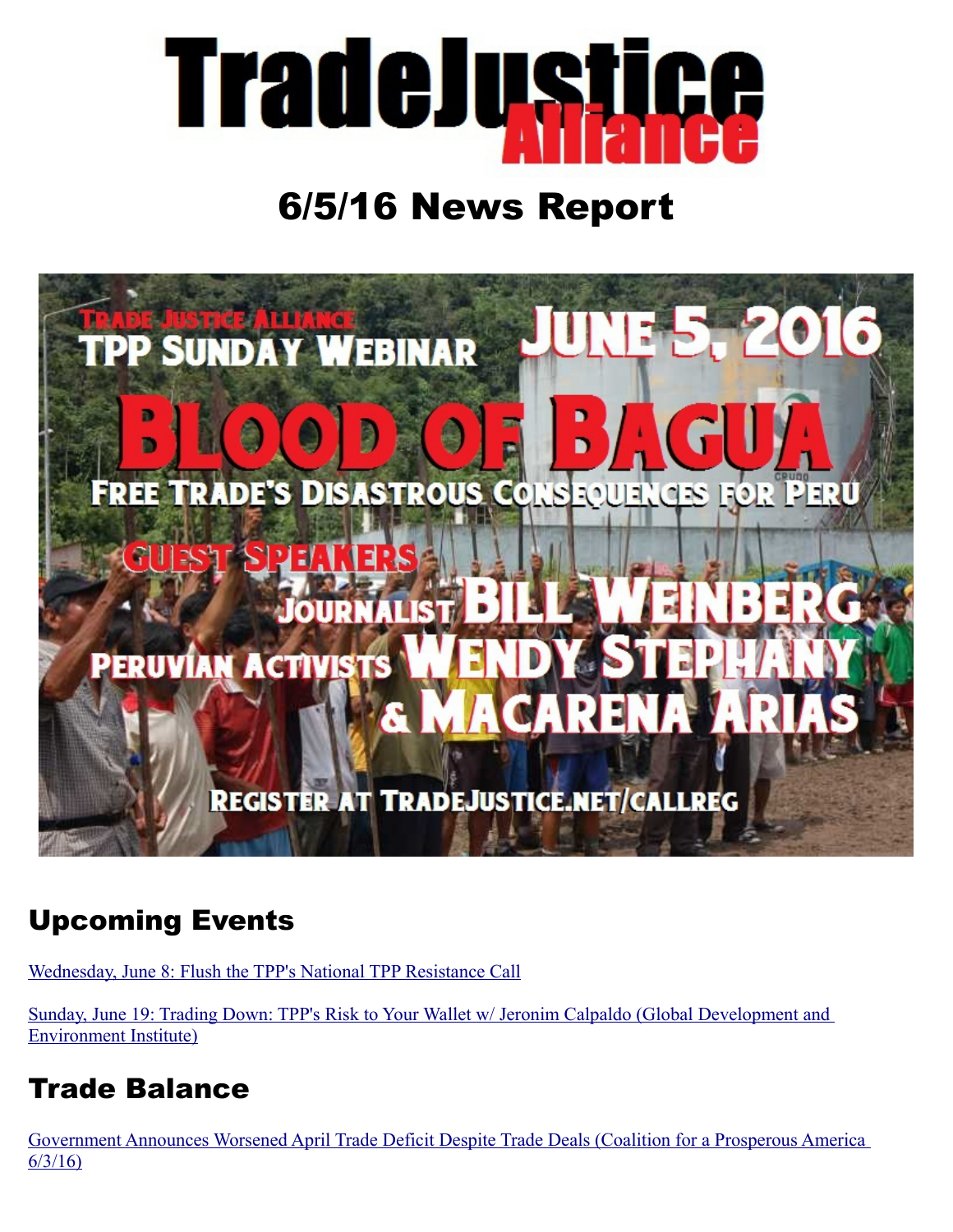

# 6/5/16 News Report



## Upcoming Events

[Wednesday, June 8: Flush the TPP's National TPP Resistance Call](http://www.flushthetpp.org/national-tpp-resistance-calls/)

[Sunday, June 19: Trading Down: TPP's Risk to Your Wallet w/ Jeronim Calpaldo \(Global Development and](http://tradejustice.net/?page=Jeronim)  [Environment Institute\)](http://tradejustice.net/?page=Jeronim)

## Trade Balance

[Government Announces Worsened April Trade Deficit Despite Trade Deals \(Coalition for a Prosperous America](http://www.prosperousamerica.org/government_announces_worsened_april_trade_deficit_despite_trade_deals?utm_campaign=160603_pr_bea&utm_medium=email&utm_source=prosperousamerica)  [6/3/16\)](http://www.prosperousamerica.org/government_announces_worsened_april_trade_deficit_despite_trade_deals?utm_campaign=160603_pr_bea&utm_medium=email&utm_source=prosperousamerica)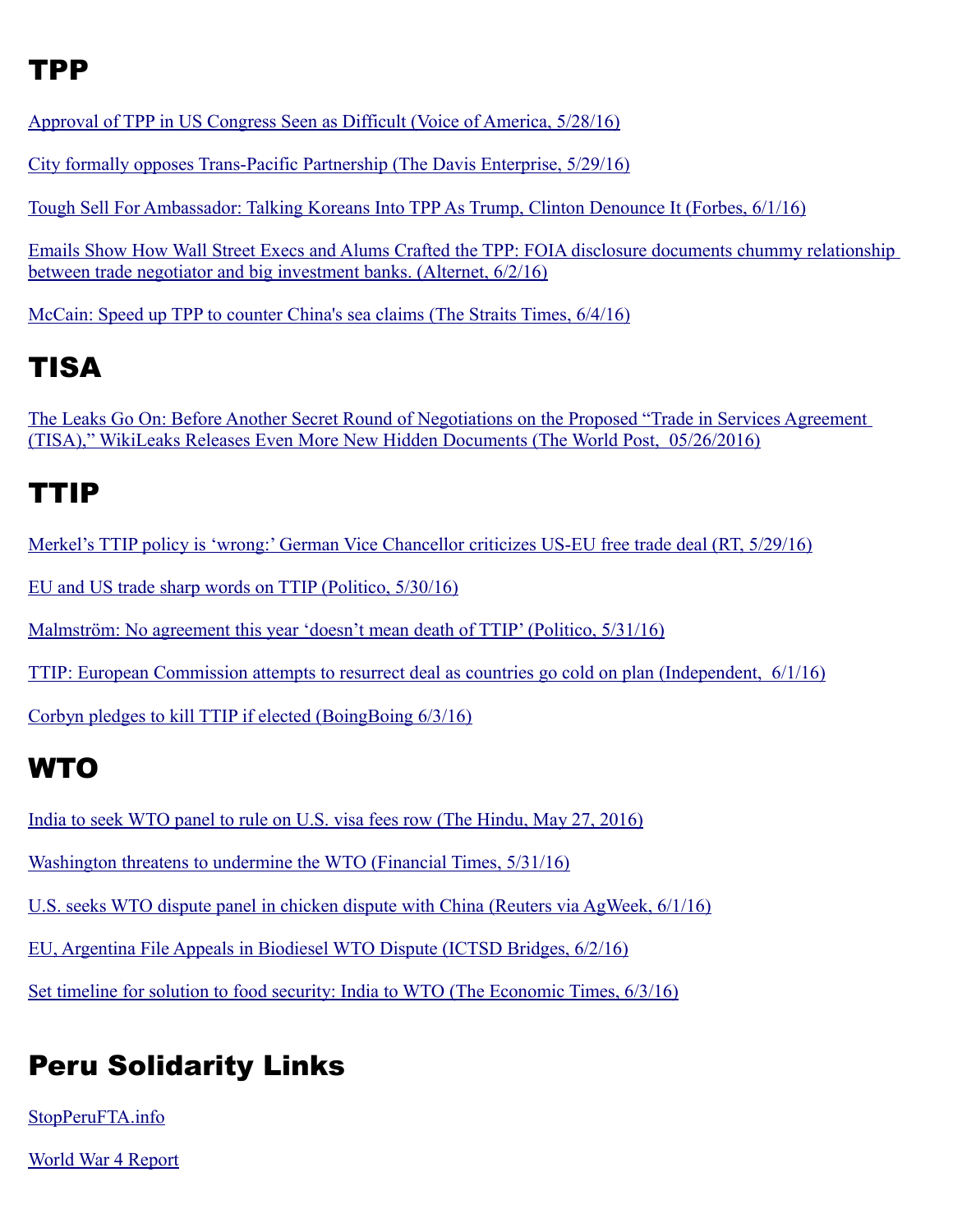#### TPP

[Approval of TPP in US Congress Seen as Difficult \(Voice of America, 5/28/16\)](http://learningenglish.voanews.com/a/approval-us-congress-tough-lift-trans-pacific-partnership-deal/3346061.html)

[City formally opposes Trans-Pacific Partnership \(The Davis Enterprise, 5/29/16\)](http://www.davisenterprise.com/local-news/city-formally-opposes-trans-pacific-%2005/26/2016/)

[Tough Sell For Ambassador: Talking Koreans Into TPP As Trump, Clinton Denounce It \(Forbes, 6/1/16\)](http://www.forbes.com/sites/donaldkirk/2016/06/01/tough-sell-for-u-s-ambassador-talking-koreans-into-tpp-for-obama-as-trump-clinton-denounce-it/#2da120465c0a)

[Emails Show How Wall Street Execs and Alums Crafted the TPP: FOIA disclosure documents chummy relationship](http://www.alternet.org/economy/emails-show-how-wall-street-execs-and-alums-crafted-tpp)  [between trade negotiator and big investment banks. \(Alternet, 6/2/16\)](http://www.alternet.org/economy/emails-show-how-wall-street-execs-and-alums-crafted-tpp)

[McCain: Speed up TPP to counter China's sea claims \(The Straits Times, 6/4/16\)](http://www.straitstimes.com/asia/se-asia/mccain-speed-up-tpp-to-counter-chinas-sea-claims)

### TISA

[The Leaks Go On: Before Another Secret Round of Negotiations on the Proposed "Trade in Services Agreement](http://www.huffingtonpost.com/deborah-james/the-leaks-go-on-before-an_b_10147030.html)   [\(TISA\)," WikiLeaks Releases Even More New Hidden Documents \(The World Post, 05/26/2016\)](http://www.huffingtonpost.com/deborah-james/the-leaks-go-on-before-an_b_10147030.html)

#### TTIP

[Merkel's TTIP policy is 'wrong:' German Vice Chancellor criticizes US-EU free trade deal \(RT, 5/29/16\)](https://www.rt.com/news/344785-ttip-germany-bad-deal/)

[EU and US trade sharp words on TTIP \(Politico, 5/30/16\)](http://www.politico.eu/article/eu-and-u-s-trade-sharp-words-on-ttip-phil-hogan-anthony-gardner/)

[Malmström: No agreement this year 'doesn't mean death of TTIP' \(Politico, 5/31/16\)](http://www.politico.eu/article/cecilia-malmstrom-no-agreement-this-year-doesnt-mean-death-of-ttip/)

 [TTIP: European Commission attempts to resurrect deal as countries go cold on plan \(Independent, 6/1/16\)](http://www.independent.co.uk/news/world/europe/ttip-european-commission-attempts-to-resurrect-deal-as-countries-go-cold-on-plan-a7058931.html)

[Corbyn pledges to kill TTIP if elected \(BoingBoing 6/3/16\)](http://boingboing.net/2016/06/03/corbyn-pledges-to-kill-ttip-if.html)

### **WTO**

[India to seek WTO panel to rule on U.S. visa fees row \(The Hindu, May 27, 2016\)](http://www.thehindu.com/business/Economy/india-to-seek-wto-panel-to-rule-on-us-visa-fees-row/article8651107.ece)

[Washington threatens to undermine the WTO \(Financial Times, 5/31/16\)](http://www.ft.com/cms/s/0/e679fd58-2730-11e6-8b18-91555f2f4fde.html)

[U.S. seeks WTO dispute panel in chicken dispute with China \(Reuters via AgWeek, 6/1/16\)](http://www.agweek.com/livestock/poultry/4045498-us-seeks-wto-dispute-panel-chicken-dispute-china)

[EU, Argentina File Appeals in Biodiesel WTO Dispute \(ICTSD Bridges, 6/2/16\)](http://www.ictsd.org/bridges-news/bridges/news/eu-argentina-file-appeals-in-biodiesel-wto-dispute)

[Set timeline for solution to food security: India to WTO \(The Economic Times, 6/3/16\)](http://economictimes.indiatimes.com/articleshow/52576148.cms?utm_source=contentofinterest&utm_medium=text&utm_campaign=cppst)

## Peru Solidarity Links

[StopPeruFTA.info](http://stopperufta.info/)

[World War 4 Report](http://ww4report.com/)